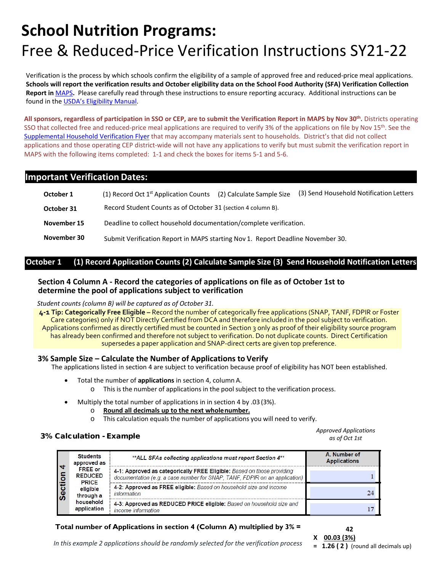Verification is the process by which schools confirm the eligibility of a sample of approved free and reduced-price meal applications. **Schools will report the verification results and October eligibility data on th[e School Food Authority \(SFA\) Verification Collection](https://fns-prod.azureedge.net/sites/default/files/FNS-742.pdf) [Report](https://fns-prod.azureedge.net/sites/default/files/FNS-742.pdf) in** [MAPS](https://montanaopi.cnpus.com/Prod/Splash.aspx)**.** Please carefully read through these instructions to ensure reporting accuracy. Additional instructions can be found in the [USDA's Eligibility Manual.](http://opi.mt.gov/Portals/182/Page%20Files/School%20Nutrition/Meal%20Eligibility/Forms%20and%20Policy/2017eligibilitymanual.pdf)

**All sponsors, regardless of participation in SSO or CEP, are to submit the Verification Report in MAPS by Nov 30th.** Districts operating SSO that collected free and reduced-price meal applications are required to verify 3% of the applications on file by Nov 15<sup>th</sup>. See the [Supplemental Household Verification Flyer](https://opi.mt.gov/Portals/182/Page%20Files/School%20Nutrition/Meal%20Eligibility/Forms%20and%20Policy/Benefits%20of%20Confirming%20Eligibility%20Flyer.pdf?ver=2021-08-20-143231-757) that may accompany materials sent to households. District's that did not collect applications and those operating CEP district-wide will not have any applications to verify but must submit the verification report in MAPS with the following items completed: 1-1 and check the boxes for items 5-1 and 5-6.

# **Important Verification Dates:**

| October 1   | (1) Record Oct $1st$ Application Counts                                         | (2) Calculate Sample Size | (3) Send Household Notification Letters |  |
|-------------|---------------------------------------------------------------------------------|---------------------------|-----------------------------------------|--|
| October 31  | Record Student Counts as of October 31 (section 4 column B).                    |                           |                                         |  |
| November 15 | Deadline to collect household documentation/complete verification.              |                           |                                         |  |
| November 30 | Submit Verification Report in MAPS starting Nov 1. Report Deadline November 30. |                           |                                         |  |

# **October 1 (1) Record Application Counts (2) Calculate Sample Size (3) Send Household Notification Letters**

### **Section 4 Column A - Record the categories of applications on file as of October 1st to determine the pool of applications subject to verification**

*Student counts (column B) will be captured as of October 31.*

**4-1 Tip: Categorically Free Eligible –** Record the number of categorically free applications (SNAP, TANF, FDPIR or Foster Care categories) only if NOT Directly Certified from DCA and therefore included in the pool subject to verification. Applications confirmed as directly certified must be counted in Section 3 only as proof of their eligibility source program has already been confirmed and therefore not subject to verification. Do not duplicate counts. Direct Certification supersedes a paper application and SNAP-direct certs are given top preference.

### **3% Sample Size – Calculate the Number of Applications to Verify**

The applications listed in section 4 are subject to verification because proof of eligibility has NOT been established.

- Total the number of **applications** in section 4, column A. o This is the number of applications in the pool subject to the verification process.
- Multiply the total number of applications in in section 4 by .03 (3%).
	- o **Round all decimals up to the next wholenumber.**
	- o This calculation equals the number of applications you will need to verify.

# 3% Calculation - Example *Approved Applications*

| 4<br><b>Section</b> | <b>Students</b><br>approved as                                                                        | **ALL SFAs collecting applications must report Section 4**                                                                                           | A. Number of<br><b>Applications</b> |
|---------------------|-------------------------------------------------------------------------------------------------------|------------------------------------------------------------------------------------------------------------------------------------------------------|-------------------------------------|
|                     | <b>FREE</b> or<br><b>REDUCED</b><br><b>PRICE</b><br>eligible<br>through a<br>household<br>application | 4-1: Approved as categorically FREE Eligible: Based on those providing<br>documentation (e.g. a case number for SNAP, TANF, FDPIR on an application) |                                     |
|                     |                                                                                                       | 4-2: Approved as FREE eligible: Based on household size and income<br>information                                                                    | 24                                  |
|                     |                                                                                                       | 4-3: Approved as REDUCED PRICE eligible: Based on household size and<br>income information                                                           |                                     |

# **Total number of Applications in section 4 (Column A) multiplied by 3% =**

**42**

*as of Oct 1st*

*In* this example 2 applications should be randomly selected for the verification process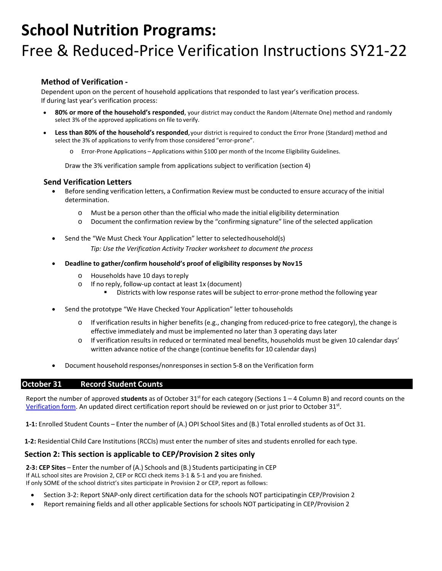### **Method of Verification -**

Dependent upon on the percent of household applications that responded to last year's verification process. If during last year's verification process:

- **80% or more of the household's responded**, your district may conduct the Random (Alternate One) method and randomly select 3% of the approved applications on file to verify.
- **Less than 80% of the household's responded**,your district is required to conduct the Error Prone (Standard) method and select the 3% of applications to verify from those considered "error-prone".
	- Error-Prone Applications Applications within \$100 per month of the Income Eligibility Guidelines.

Draw the 3% verification sample from applications subject to verification (section 4)

### **Send Verification Letters**

- Before sending verification letters, a Confirmation Review must be conducted to ensure accuracy of the initial determination.
	- o Must be a person other than the official who made the initial eligibility determination
	- o Document the confirmation review by the "confirming signature" line of the selected application
- Send the "We Must Check Your Application" letter to selectedhousehold(s)

*Tip: Use the Verification Activity Tracker worksheet to document the process*

- **Deadline to gather/confirm household's proof of eligibility responses by Nov15**
	- o Households have 10 days toreply
	- $\circ$  If no reply, follow-up contact at least 1x (document)
		- Districts with low response rates will be subject to error-prone method the following year
- Send the prototype "We Have Checked Your Application" letter tohouseholds
	- $\circ$  If verification results in higher benefits (e.g., changing from reduced-price to free category), the change is effective immediately and must be implemented no later than 3 operating days later
	- o If verification results in reduced or terminated meal benefits, households must be given 10 calendar days' written advance notice of the change (continue benefits for 10 calendar days)
- Document household responses/nonresponsesin section 5-8 on the Verification form

#### **October 31 Record Student Counts**

Report the number of approved students as of October 31<sup>st</sup> for each category (Sections 1 – 4 Column B) and record counts on the [Verification form.](https://fns-prod.azureedge.net/sites/default/files/FNS-742.pdf) An updated direct certification report should be reviewed on or just prior to October 31<sup>st</sup>.

**1-1:** Enrolled Student Counts – Enter the number of (A.) OPI School Sites and (B.) Total enrolled students as of Oct 31.

**1-2:** Residential Child Care Institutions (RCCIs) must enter the number of sites and students enrolled for each type.

### **Section 2: This section is applicable to CEP/Provision 2 sites only**

**2-3: CEP Sites** – Enter the number of (A.) Schools and (B.) Students participating in CEP If ALL school sites are Provision 2, CEP or RCCI check items 3-1 & 5-1 and you are finished. If only SOME of the school district's sites participate in Provision 2 or CEP, report as follows:

- Section 3-2: Report SNAP-only direct certification data for the schools NOT participatingin CEP/Provision 2
- Report remaining fields and all other applicable Sections for schools NOT participating in CEP/Provision 2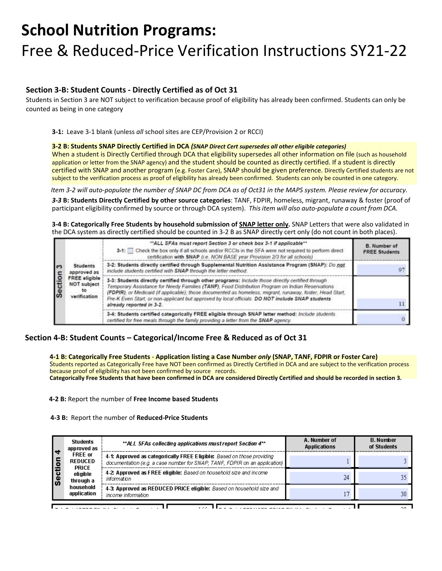# **Section 3-B: Student Counts - Directly Certified as of Oct 31**

Students in Section 3 are NOT subject to verification because proof of eligibility has already been confirmed. Students can only be counted as being in one category

**3-1:** Leave 3-1 blank (unless *all* school sites are CEP/Provision 2 or RCCI)

#### **3-2 B: Students SNAP Directly Certified in DCA** *(SNAP Direct Cert supersedes all other eligible categories)*

When a student is Directly Certified through DCA that eligibility supersedes all other information on file (such as household application or letter from the SNAP agency) and the student should be counted as directly certified. If a student is directly certified with SNAP and another program (e.g. Foster Care), SNAP should be given preference. Directly Certified students are not subject to the verification process as proof of eligibility has already been confirmed. Students can only be counted in one category.

*Item 3-2 will auto-populate the number of SNAP DC from DCA as of Oct31 in the MAPS system. Please review for accuracy.*

*3-3* **B: Students Directly Certified by other source categories**: TANF, FDPIR, homeless, migrant, runaway & foster (proof of participant eligibility confirmed by source or through DCA system). *This item will also auto-populate a count from DCA.*

**3-4 B: Categorically Free Students by household submission of SNAP letter only.** SNAP Letters that were also validated in the DCA system as directly certified should be counted in 3-2 B as SNAP directly cert only (do not count in both places).

| ຕ<br>Sectio | <b>Students</b><br>approved as<br><b>FREE</b> eligible<br><b>NOT subject</b><br>to<br>verification | "ALL SFAs must report Section 3 or check box 3-1 if applicable"*<br>3-1: Check the box only if all schools and/or RCCIs in the SFA were not required to perform direct<br>certification with SNAP (i.e. NON BASE year Provision 2/3 for all schools)                                                                                                                                                                                               | <b>B.</b> Number of<br><b>FREE Students</b> |
|-------------|----------------------------------------------------------------------------------------------------|----------------------------------------------------------------------------------------------------------------------------------------------------------------------------------------------------------------------------------------------------------------------------------------------------------------------------------------------------------------------------------------------------------------------------------------------------|---------------------------------------------|
|             |                                                                                                    | 3-2: Students directly certified through Supplemental Nutrition Assistance Program (SNAP): Do not<br>include students certified with SNAP through the letter method.                                                                                                                                                                                                                                                                               |                                             |
|             |                                                                                                    | 3-3: Students directly certified through other programs: Include those directly certified through<br>Temporary Assistance for Needy Families (TANF), Food Distribution Program on Indian Reservations<br>(FDPIR), or Medicaid (if applicable); those documented as homeless, migrant, runaway, foster, Head Start,<br>Pre-K Even Start, or non-applicant but approved by local officials. DO NOT include SNAP students<br>already reported in 3-2. |                                             |
|             |                                                                                                    | 3-4: Students certified categorically FREE eligible through SNAP letter method: Include students<br>certified for free meals through the family providing a letter from the SNAP agency.                                                                                                                                                                                                                                                           |                                             |

### **Section 4-B: Student Counts – Categorical/Income Free & Reduced as of Oct 31**

**4-1 B: Categorically Free Students** - **Application listing a Case Number** *only* **(SNAP, TANF, FDPIR or Foster Care)** Students reported as Categorically Free have NOT been confirmed as Directly Certified in DCA and are subject to the verification process because proof of eligibility has not been confirmed by source records. **Categorically Free Students that have been confirmed in DCA are considered Directly Certified and should be recorded in section 3.**

#### **4-2 B:** Report the number of **Free Income based Students**

**4-3 B:** Report the number of **Reduced-Price Students**

| +<br>le<br>ါဖိ | <b>Students</b><br>approved as                   | **ALL SFAs collecting applications must report Section 4**                                                                                           | A. Number of<br><b>Applications</b> | <b>B.</b> Number<br>of Students |
|----------------|--------------------------------------------------|------------------------------------------------------------------------------------------------------------------------------------------------------|-------------------------------------|---------------------------------|
|                | <b>FREE</b> or<br><b>REDUCED</b><br><b>PRICE</b> | 4-1: Approved as categorically FREE Eligible: Based on those providing<br>documentation (e.g. a case number for SNAP, TANF, FDPIR on an application) |                                     |                                 |
|                | eligible<br>through a                            | 4-2 Approved as FREE eligible: Based on household size and income<br>information                                                                     | 24                                  |                                 |
|                | household<br>application                         | 4-3: Approved as REDUCED PRICE eligible: Based on household size and<br>income information                                                           |                                     | 30                              |
|                |                                                  |                                                                                                                                                      |                                     |                                 |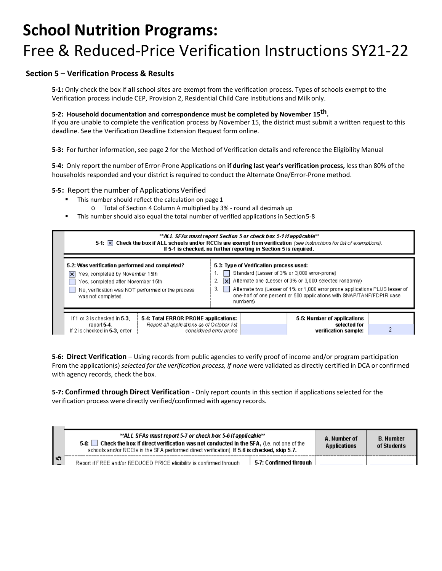# **Section 5 – Verification Process & Results**

**5-1:** Only check the box if **all** school sites are exempt from the verification process. Types of schools exempt to the Verification process include CEP, Provision 2, Residential Child Care Institutions and Milkonly.

#### **5-2: Household documentation and correspondence must be completed by November 15th.**

If you are unable to complete the verification process by November 15, the district must submit a written request to this deadline. Se[e the Verification Deadline Extension Request form](http://opi.mt.gov/PDF/SchoolFood/Forms/Verify/VerifyDeadlineExtensionReqFrm.pdf) online.

**5-3:** For further information, see page 2 for the Method of Verification details and reference the Eligibility Manual

**5-4:** Only report the number of Error-Prone Applications on **if during last year's verification process,** less than 80% of the households responded and your district is required to conduct the Alternate One/Error-Prone method.

#### **5-5: Report the number of Applications Verified**

- This number should reflect the calculation on page 1
	- o Total of Section 4 Column A multiplied by 3% round all decimalsup
- This number should also equal the total number of verified applications in Section5-8



**5-6: Direct Verification** – Using records from public agencies to verify proof of income and/or program participation From the application(s) *selected for the verification process, if none* were validated as directly certified in DCA or confirmed with agency records, check the box.

**5-7: Confirmed through Direct Verification** - Only report counts in this section if applications selected for the verification process were directly verified/confirmed with agency records.

| **ALL SFAs must report 5-7 or check box 5-6 if applicable**<br>Check the box if direct verification was not conducted in the SFA, (i.e. not one of the<br>5-61 L<br>schools and/or RCCIs in the SFA performed direct verification). If 5-6 is checked, skip 5-7. |                                                                      |                        | A. Number of<br>Applications | <b>B. Number</b><br>of Students |
|------------------------------------------------------------------------------------------------------------------------------------------------------------------------------------------------------------------------------------------------------------------|----------------------------------------------------------------------|------------------------|------------------------------|---------------------------------|
| היו                                                                                                                                                                                                                                                              | Report if FREE and/or REDUCED PRICE eligibility is confirmed through | 5-7: Confirmed through |                              |                                 |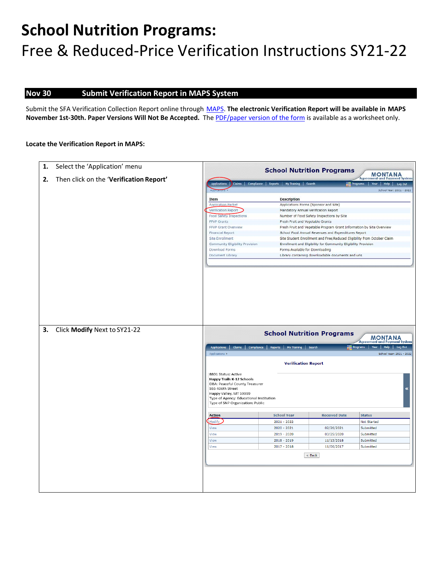# **Nov 30 Submit Verification Report in MAPS System**

Submit the SFA Verification Collection Report online through [MAPS.](https://montanaopi.cnpus.com/Prod/Splash.aspx) **The electronic Verification Report will be available in MAPS November 1st-30th. Paper Versions Will Not Be Accepted.** Th[e PDF/paper version of the form](https://fns-prod.azureedge.net/sites/default/files/FNS-742.pdf) is available as a worksheet only.

#### **Locate the Verification Report in MAPS:**

| 1. | Select the 'Application' menu           | <b>School Nutrition Programs</b><br><b>MONTANA</b>                                                                                                                                                                                                                                         |                                                                                                                                                                                                                                          |                                                                         |                                               |  |
|----|-----------------------------------------|--------------------------------------------------------------------------------------------------------------------------------------------------------------------------------------------------------------------------------------------------------------------------------------------|------------------------------------------------------------------------------------------------------------------------------------------------------------------------------------------------------------------------------------------|-------------------------------------------------------------------------|-----------------------------------------------|--|
| 2. | Then click on the 'Verification Report' | <b>Agreement and Payment System</b>                                                                                                                                                                                                                                                        |                                                                                                                                                                                                                                          |                                                                         |                                               |  |
|    |                                         |                                                                                                                                                                                                                                                                                            | Claims   Compliance   Reports   My Training   Search                                                                                                                                                                                     |                                                                         | Year   Help   Log Out<br>$F_{\text{regrams}}$ |  |
|    |                                         |                                                                                                                                                                                                                                                                                            |                                                                                                                                                                                                                                          |                                                                         | School Year: 2021 - 2022                      |  |
|    |                                         | Item                                                                                                                                                                                                                                                                                       | <b>Description</b>                                                                                                                                                                                                                       |                                                                         |                                               |  |
|    |                                         | <b>Application Packet</b>                                                                                                                                                                                                                                                                  | Applications Forms (Sponsor and Site)                                                                                                                                                                                                    |                                                                         |                                               |  |
|    |                                         | Verification Report                                                                                                                                                                                                                                                                        | Mandatory Annual Verification Report                                                                                                                                                                                                     |                                                                         |                                               |  |
|    |                                         | Food Safety Inspections                                                                                                                                                                                                                                                                    |                                                                                                                                                                                                                                          | Number of Food Safety Inspections by Site                               |                                               |  |
|    |                                         | <b>FFVP Grants</b>                                                                                                                                                                                                                                                                         | Fresh Fruit and Vegetable Grants                                                                                                                                                                                                         |                                                                         |                                               |  |
|    |                                         | FFVP Grant Overview                                                                                                                                                                                                                                                                        |                                                                                                                                                                                                                                          | Fresh Fruit and Vegetable Program Grant Information by Site Overview    |                                               |  |
|    |                                         | Financial Report                                                                                                                                                                                                                                                                           |                                                                                                                                                                                                                                          | School Food Annual Revenues and Expenditures Report                     |                                               |  |
|    |                                         | <b>Site Enrollment</b>                                                                                                                                                                                                                                                                     |                                                                                                                                                                                                                                          | Site Student Enrollment and Free/Reduced Eligibility from October Claim |                                               |  |
|    |                                         | Community Eligibility Provision                                                                                                                                                                                                                                                            |                                                                                                                                                                                                                                          | Enrollment and Eligibility for Community Eligibility Provision          |                                               |  |
|    |                                         | Download Forms                                                                                                                                                                                                                                                                             | Forms Available for Downloading                                                                                                                                                                                                          |                                                                         |                                               |  |
|    |                                         | Document Library                                                                                                                                                                                                                                                                           |                                                                                                                                                                                                                                          | Library containing downloadable documents and urls                      |                                               |  |
|    |                                         |                                                                                                                                                                                                                                                                                            |                                                                                                                                                                                                                                          |                                                                         |                                               |  |
| 3. | Click Modify Next to SY21-22            | <b>Applications</b><br>Claims<br>Applications ><br>8801 Status: Active<br><b>Happy Trails K-12 Schools</b><br>DBA: Peaceful County Treasurer<br>555 406th Street<br>Happy Valley, MT 59999<br>Type of Agency: Educational Institution<br>Type of SNP Organization: Public<br><b>Action</b> | <b>School Nutrition Programs</b><br><b>MONTANA</b><br><b>Agreement and Payment System</b><br>Programs   Year   Help   Log Out<br>Compliance<br>My Training   Search<br>Reports<br>School Year: 2021 - 2022<br><b>Verification Report</b> |                                                                         |                                               |  |
|    |                                         | Modify                                                                                                                                                                                                                                                                                     | <b>School Year</b><br>$2021 - 2022$                                                                                                                                                                                                      | <b>Received Date</b>                                                    | <b>Status</b><br>Not Started                  |  |
|    |                                         | View                                                                                                                                                                                                                                                                                       | $2020 - 2021$                                                                                                                                                                                                                            | 02/26/2021                                                              | Submitted                                     |  |
|    |                                         |                                                                                                                                                                                                                                                                                            |                                                                                                                                                                                                                                          |                                                                         |                                               |  |
|    |                                         | View                                                                                                                                                                                                                                                                                       | 2019 - 2020                                                                                                                                                                                                                              | 03/25/2020                                                              | Submitted                                     |  |
|    |                                         | View                                                                                                                                                                                                                                                                                       | $2018 - 2019$                                                                                                                                                                                                                            | 11/13/2018                                                              | Submitted                                     |  |
|    |                                         | View                                                                                                                                                                                                                                                                                       | $2017 - 2018$                                                                                                                                                                                                                            | 11/06/2017                                                              | Submitted                                     |  |
|    |                                         | $<$ Back                                                                                                                                                                                                                                                                                   |                                                                                                                                                                                                                                          |                                                                         |                                               |  |
|    |                                         |                                                                                                                                                                                                                                                                                            |                                                                                                                                                                                                                                          |                                                                         |                                               |  |